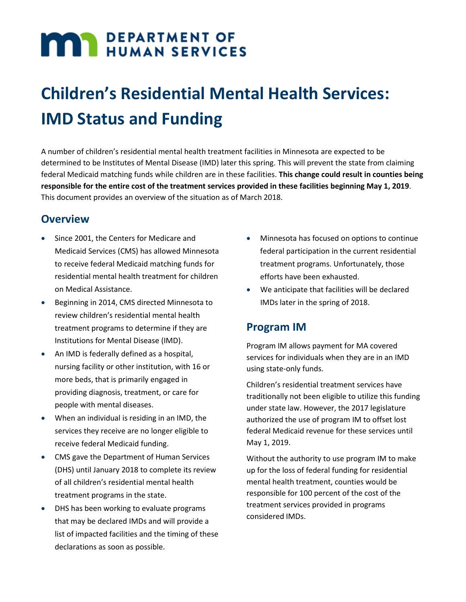# **MAY DEPARTMENT OF**

# **Children's Residential Mental Health Services: IMD Status and Funding**

A number of children's residential mental health treatment facilities in Minnesota are expected to be determined to be Institutes of Mental Disease (IMD) later this spring. This will prevent the state from claiming federal Medicaid matching funds while children are in these facilities. **This change could result in counties being responsible for the entire cost of the treatment services provided in these facilities beginning May 1, 2019**. This document provides an overview of the situation as of March 2018.

#### **Overview**

- Since 2001, the Centers for Medicare and Medicaid Services (CMS) has allowed Minnesota to receive federal Medicaid matching funds for residential mental health treatment for children on Medical Assistance.
- Beginning in 2014, CMS directed Minnesota to review children's residential mental health treatment programs to determine if they are Institutions for Mental Disease (IMD).
- An IMD is federally defined as a hospital, nursing facility or other institution, with 16 or more beds, that is primarily engaged in providing diagnosis, treatment, or care for people with mental diseases.
- When an individual is residing in an IMD, the services they receive are no longer eligible to receive federal Medicaid funding.
- CMS gave the Department of Human Services (DHS) until January 2018 to complete its review of all children's residential mental health treatment programs in the state.
- DHS has been working to evaluate programs that may be declared IMDs and will provide a list of impacted facilities and the timing of these declarations as soon as possible.
- Minnesota has focused on options to continue federal participation in the current residential treatment programs. Unfortunately, those efforts have been exhausted.
- We anticipate that facilities will be declared IMDs later in the spring of 2018.

### **Program IM**

Program IM allows payment for MA covered services for individuals when they are in an IMD using state-only funds.

Children's residential treatment services have traditionally not been eligible to utilize this funding under state law. However, the 2017 legislature authorized the use of program IM to offset lost federal Medicaid revenue for these services until May 1, 2019.

Without the authority to use program IM to make up for the loss of federal funding for residential mental health treatment, counties would be responsible for 100 percent of the cost of the treatment services provided in programs considered IMDs.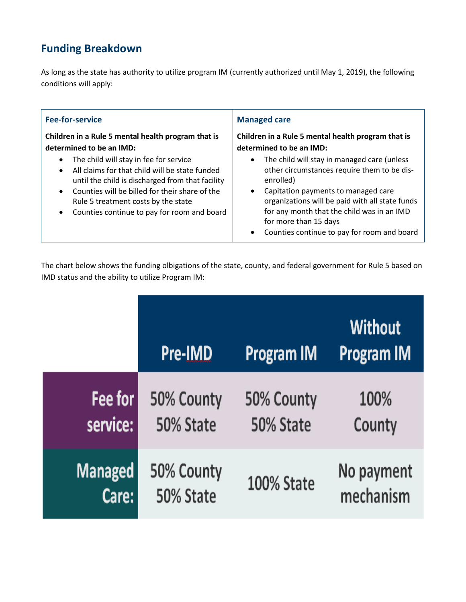# **Funding Breakdown**

As long as the state has authority to utilize program IM (currently authorized until May 1, 2019), the following conditions will apply:

| <b>Fee-for-service</b>                             | <b>Managed care</b>                                |  |
|----------------------------------------------------|----------------------------------------------------|--|
| Children in a Rule 5 mental health program that is | Children in a Rule 5 mental health program that is |  |
| determined to be an IMD:                           | determined to be an IMD:                           |  |
| The child will stay in fee for service             | The child will stay in managed care (unless        |  |
| $\bullet$                                          | $\bullet$                                          |  |
| All claims for that child will be state funded     | other circumstances require them to be dis-        |  |
| $\bullet$                                          | enrolled)                                          |  |
| until the child is discharged from that facility   | Capitation payments to managed care                |  |
| Counties will be billed for their share of the     | organizations will be paid with all state funds    |  |
| $\bullet$                                          | for any month that the child was in an IMD         |  |
| Rule 5 treatment costs by the state                | for more than 15 days                              |  |
| Counties continue to pay for room and board        | Counties continue to pay for room and board        |  |
| $\bullet$                                          | ٠                                                  |  |

The chart below shows the funding olbigations of the state, county, and federal government for Rule 5 based on IMD status and the ability to utilize Program IM:

|                | <b>Pre-IMD</b> | <b>Program IM</b> | <b>Without</b><br><b>Program IM</b> |
|----------------|----------------|-------------------|-------------------------------------|
| Fee for        | 50% County     | 50% County        | 100%                                |
| service:       | 50% State      | 50% State         | County                              |
| <b>Managed</b> | 50% County     | <b>100% State</b> | No payment                          |
| Care:          | 50% State      |                   | mechanism                           |